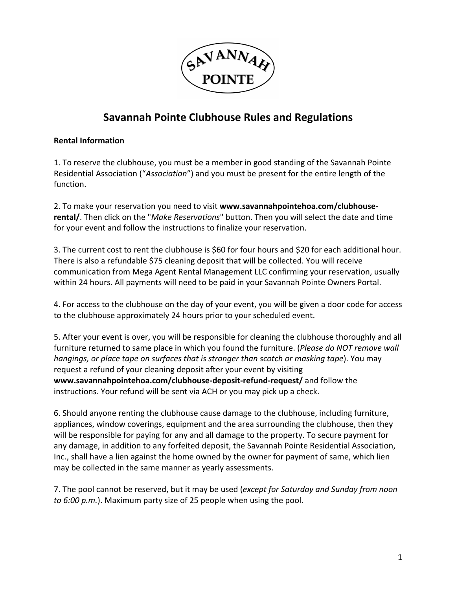

# **Savannah Pointe Clubhouse Rules and Regulations**

#### **Rental Information**

1. To reserve the clubhouse, you must be a member in good standing of the Savannah Pointe Residential Association ("*Association*") and you must be present for the entire length of the function.

2. To make your reservation you need to visit **www.savannahpointehoa.com/clubhouserental/**. Then click on the "*Make Reservations*" button. Then you will select the date and time for your event and follow the instructions to finalize your reservation.

3. The current cost to rent the clubhouse is \$60 for four hours and \$20 for each additional hour. There is also a refundable \$75 cleaning deposit that will be collected. You will receive communication from Mega Agent Rental Management LLC confirming your reservation, usually within 24 hours. All payments will need to be paid in your Savannah Pointe Owners Portal.

4. For access to the clubhouse on the day of your event, you will be given a door code for access to the clubhouse approximately 24 hours prior to your scheduled event.

5. After your event is over, you will be responsible for cleaning the clubhouse thoroughly and all furniture returned to same place in which you found the furniture. (*Please do NOT remove wall hangings, or place tape on surfaces that is stronger than scotch or masking tape*). You may request a refund of your cleaning deposit after your event by visiting **www.savannahpointehoa.com/clubhouse-deposit-refund-request/** and follow the instructions. Your refund will be sent via ACH or you may pick up a check.

6. Should anyone renting the clubhouse cause damage to the clubhouse, including furniture, appliances, window coverings, equipment and the area surrounding the clubhouse, then they will be responsible for paying for any and all damage to the property. To secure payment for any damage, in addition to any forfeited deposit, the Savannah Pointe Residential Association, Inc., shall have a lien against the home owned by the owner for payment of same, which lien may be collected in the same manner as yearly assessments.

7. The pool cannot be reserved, but it may be used (*except for Saturday and Sunday from noon to 6:00 p.m.*). Maximum party size of 25 people when using the pool.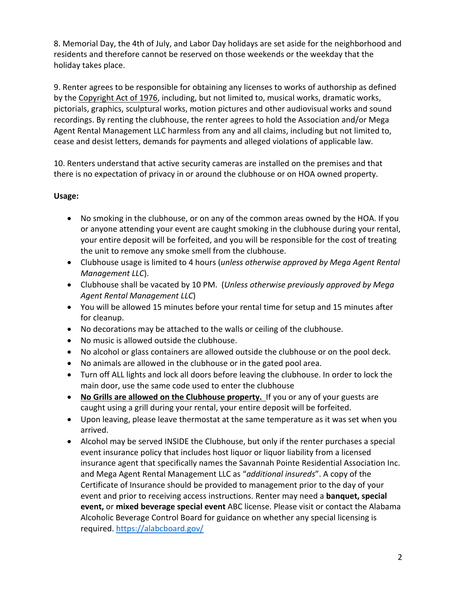8. Memorial Day, the 4th of July, and Labor Day holidays are set aside for the neighborhood and residents and therefore cannot be reserved on those weekends or the weekday that the holiday takes place.

9. Renter agrees to be responsible for obtaining any licenses to works of authorship as defined by the Copyright Act of 1976, including, but not limited to, musical works, dramatic works, pictorials, graphics, sculptural works, motion pictures and other audiovisual works and sound recordings. By renting the clubhouse, the renter agrees to hold the Association and/or Mega Agent Rental Management LLC harmless from any and all claims, including but not limited to, cease and desist letters, demands for payments and alleged violations of applicable law.

10. Renters understand that active security cameras are installed on the premises and that there is no expectation of privacy in or around the clubhouse or on HOA owned property.

## **Usage:**

- No smoking in the clubhouse, or on any of the common areas owned by the HOA. If you or anyone attending your event are caught smoking in the clubhouse during your rental, your entire deposit will be forfeited, and you will be responsible for the cost of treating the unit to remove any smoke smell from the clubhouse.
- Clubhouse usage is limited to 4 hours (*unless otherwise approved by Mega Agent Rental Management LLC*).
- Clubhouse shall be vacated by 10 PM. (*Unless otherwise previously approved by Mega Agent Rental Management LLC*)
- You will be allowed 15 minutes before your rental time for setup and 15 minutes after for cleanup.
- No decorations may be attached to the walls or ceiling of the clubhouse.
- No music is allowed outside the clubhouse.
- No alcohol or glass containers are allowed outside the clubhouse or on the pool deck.
- No animals are allowed in the clubhouse or in the gated pool area.
- Turn off ALL lights and lock all doors before leaving the clubhouse. In order to lock the main door, use the same code used to enter the clubhouse
- **No Grills are allowed on the Clubhouse property.** If you or any of your guests are caught using a grill during your rental, your entire deposit will be forfeited.
- Upon leaving, please leave thermostat at the same temperature as it was set when you arrived.
- Alcohol may be served INSIDE the Clubhouse, but only if the renter purchases a special event insurance policy that includes host liquor or liquor liability from a licensed insurance agent that specifically names the Savannah Pointe Residential Association Inc. and Mega Agent Rental Management LLC as "*additional insureds*". A copy of the Certificate of Insurance should be provided to management prior to the day of your event and prior to receiving access instructions. Renter may need a **banquet, special event,** or **mixed beverage special event** ABC license. Please visit or contact the Alabama Alcoholic Beverage Control Board for guidance on whether any special licensing is required. https://alabcboard.gov/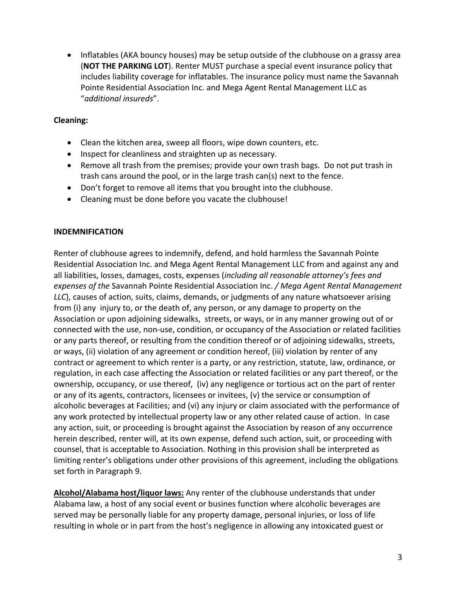• Inflatables (AKA bouncy houses) may be setup outside of the clubhouse on a grassy area (**NOT THE PARKING LOT**). Renter MUST purchase a special event insurance policy that includes liability coverage for inflatables. The insurance policy must name the Savannah Pointe Residential Association Inc. and Mega Agent Rental Management LLC as "*additional insureds*".

### **Cleaning:**

- Clean the kitchen area, sweep all floors, wipe down counters, etc.
- Inspect for cleanliness and straighten up as necessary.
- Remove all trash from the premises; provide your own trash bags. Do not put trash in trash cans around the pool, or in the large trash can(s) next to the fence.
- Don't forget to remove all items that you brought into the clubhouse.
- Cleaning must be done before you vacate the clubhouse!

#### **INDEMNIFICATION**

Renter of clubhouse agrees to indemnify, defend, and hold harmless the Savannah Pointe Residential Association Inc. and Mega Agent Rental Management LLC from and against any and all liabilities, losses, damages, costs, expenses (*including all reasonable attorney's fees and expenses of the* Savannah Pointe Residential Association Inc. */ Mega Agent Rental Management LLC*), causes of action, suits, claims, demands, or judgments of any nature whatsoever arising from (i) any injury to, or the death of, any person, or any damage to property on the Association or upon adjoining sidewalks, streets, or ways, or in any manner growing out of or connected with the use, non-use, condition, or occupancy of the Association or related facilities or any parts thereof, or resulting from the condition thereof or of adjoining sidewalks, streets, or ways, (ii) violation of any agreement or condition hereof, (iii) violation by renter of any contract or agreement to which renter is a party, or any restriction, statute, law, ordinance, or regulation, in each case affecting the Association or related facilities or any part thereof, or the ownership, occupancy, or use thereof, (iv) any negligence or tortious act on the part of renter or any of its agents, contractors, licensees or invitees, (v) the service or consumption of alcoholic beverages at Facilities; and (vi) any injury or claim associated with the performance of any work protected by intellectual property law or any other related cause of action. In case any action, suit, or proceeding is brought against the Association by reason of any occurrence herein described, renter will, at its own expense, defend such action, suit, or proceeding with counsel, that is acceptable to Association. Nothing in this provision shall be interpreted as limiting renter's obligations under other provisions of this agreement, including the obligations set forth in Paragraph 9.

**Alcohol/Alabama host/liquor laws:** Any renter of the clubhouse understands that under Alabama law, a host of any social event or busines function where alcoholic beverages are served may be personally liable for any property damage, personal injuries, or loss of life resulting in whole or in part from the host's negligence in allowing any intoxicated guest or